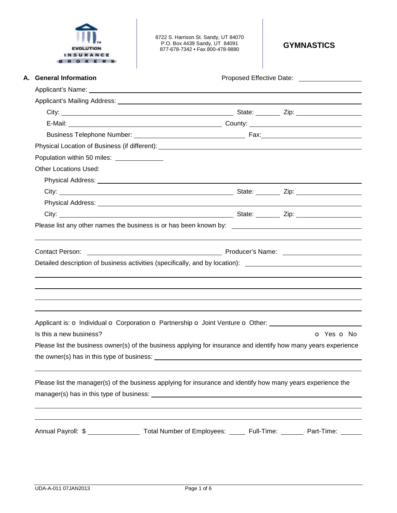

8722 S. Harrison St. Sandy, UT 84070 P.O. Box 4439 Sandy, UT 84091 877-678-7342 • Fax 800-478-9880 **GYMNASTICS** 

| A. General Information                                                                                                                                                                                                               | Proposed Effective Date: ____________________ |            |  |
|--------------------------------------------------------------------------------------------------------------------------------------------------------------------------------------------------------------------------------------|-----------------------------------------------|------------|--|
|                                                                                                                                                                                                                                      |                                               |            |  |
|                                                                                                                                                                                                                                      |                                               |            |  |
|                                                                                                                                                                                                                                      |                                               |            |  |
|                                                                                                                                                                                                                                      |                                               |            |  |
|                                                                                                                                                                                                                                      |                                               |            |  |
|                                                                                                                                                                                                                                      |                                               |            |  |
| Population within 50 miles: ______________                                                                                                                                                                                           |                                               |            |  |
| <b>Other Locations Used:</b>                                                                                                                                                                                                         |                                               |            |  |
|                                                                                                                                                                                                                                      |                                               |            |  |
|                                                                                                                                                                                                                                      |                                               |            |  |
| Physical Address: <u>New York: New York: New York: New York: New York: New York: New York: New York: New York: New York: New York: New York: New York: New York: New York: New York: New York: New York: New York: New York: New</u> |                                               |            |  |
| City: City: City: City: City: City: City: City: City: City: City: City: City: City: City: City: City: City: City: City: City: City: City: City: City: City: City: City: City: City: City: City: City: City: City: City: City:        |                                               |            |  |
| Please list any other names the business is or has been known by: __________________________________                                                                                                                                 |                                               |            |  |
|                                                                                                                                                                                                                                      |                                               |            |  |
|                                                                                                                                                                                                                                      |                                               |            |  |
| <b>Contact Person:</b>                                                                                                                                                                                                               |                                               |            |  |
| Detailed description of business activities (specifically, and by location): _________________________________                                                                                                                       |                                               |            |  |
|                                                                                                                                                                                                                                      |                                               |            |  |
|                                                                                                                                                                                                                                      |                                               |            |  |
|                                                                                                                                                                                                                                      |                                               |            |  |
| Applicant is: o Individual o Corporation o Partnership o Joint Venture o Other:                                                                                                                                                      |                                               |            |  |
| Is this a new business?                                                                                                                                                                                                              |                                               | O Yes O No |  |
| Please list the business owner(s) of the business applying for insurance and identify how many years experience                                                                                                                      |                                               |            |  |
| the owner(s) has in this type of business: example and the owner of the owner of the state of the state of the state of the state of the state of the state of the state of the state of the state of the state of the state o       |                                               |            |  |
|                                                                                                                                                                                                                                      |                                               |            |  |
|                                                                                                                                                                                                                                      |                                               |            |  |
| Please list the manager(s) of the business applying for insurance and identify how many years experience the                                                                                                                         |                                               |            |  |
|                                                                                                                                                                                                                                      |                                               |            |  |
|                                                                                                                                                                                                                                      |                                               |            |  |
| Annual Payroll: \$ ______________________ Total Number of Employees: _______ Full-Time: ________ Part-Time: ______                                                                                                                   |                                               |            |  |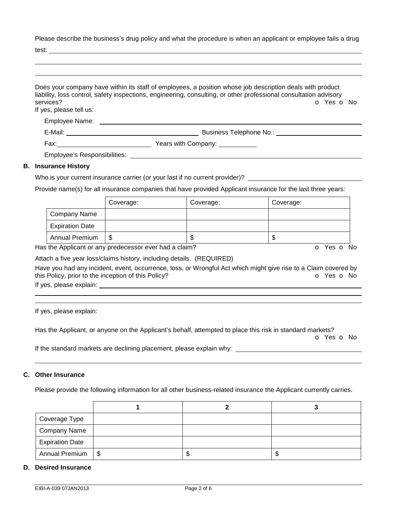Please describe the business's drug policy and what the procedure is when an applicant or employee fails a drug

test:

| services?<br>If yes, please tell us: | Does your company have within its staff of employees, a position whose job description deals with product<br>liability, loss control, safety inspections, engineering, consulting, or other professional consultation advisory<br>O Yes O No |
|--------------------------------------|----------------------------------------------------------------------------------------------------------------------------------------------------------------------------------------------------------------------------------------------|
|                                      | Employee Name: The contract of the contract of the contract of the contract of the contract of the contract of the contract of the contract of the contract of the contract of the contract of the contract of the contract of               |
| E-Mail: ____________                 | Business Telephone No.:                                                                                                                                                                                                                      |
|                                      |                                                                                                                                                                                                                                              |
|                                      | Employee's Responsibilities: Weblater and the control of the control of the control of the control of the control of the control of the control of the control of the control of the control of the control of the control of                |
| <b>Insurance History</b>             |                                                                                                                                                                                                                                              |

### **B. Insurance History**

Who is your current insurance carrier (or your last if no current provider)? \_\_\_

Provide name(s) for all insurance companies that have provided Applicant insurance for the last three years:

|                        | Coverage: | Coverage: | Coverage: |
|------------------------|-----------|-----------|-----------|
| Company Name           |           |           |           |
| <b>Expiration Date</b> |           |           |           |
| <b>Annual Premium</b>  | S         | ۰D        | J         |

Has the Applicant or any predecessor ever had a claim? The Contract of Monocomusic Contract of No. The Contract O

Attach a five year loss/claims history, including details. (REQUIRED)

Have you had any incident, event, occurrence, loss, or Wrongful Act which might give rise to a Claim covered by this Policy, prior to the inception of this Policy? **o Yes o No** Yes **o** No

If yes, please explain:

 

If yes, please explain:

Has the Applicant, or anyone on the Applicant's behalf, attempted to place this risk in standard markets?

o Yes o No

If the standard markets are declining placement, please explain why: \_\_\_\_\_\_\_\_\_\_\_\_\_\_\_\_\_\_

#### **C. Other Insurance**

Please provide the following information for all other business-related insurance the Applicant currently carries.

| Coverage Type          |  |    |
|------------------------|--|----|
| <b>Company Name</b>    |  |    |
| <b>Expiration Date</b> |  |    |
| Annual Premium   \$    |  | ۰D |

# **D. Desired Insurance**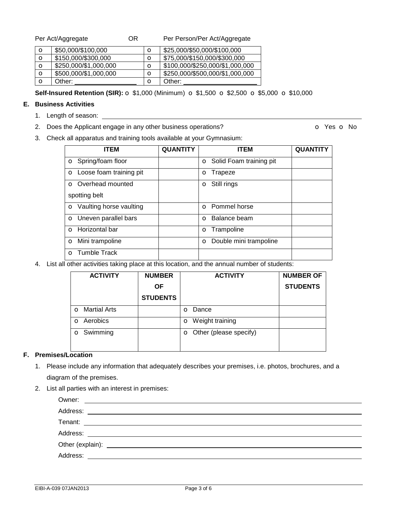| Per Act/Aggregate | OR | Per Person/Per Act/Aggregate |
|-------------------|----|------------------------------|
|-------------------|----|------------------------------|

| $\mathbf o$ | \$50,000/\$100,000    | O           | \$25,000/\$50,000/\$100,000     |
|-------------|-----------------------|-------------|---------------------------------|
| $\circ$     | \$150,000/\$300,000   | O           | \$75,000/\$150,000/\$300,000    |
| $\circ$     | \$250,000/\$1,000,000 | $\mathbf o$ | \$100,000/\$250,000/\$1,000,000 |
| $\circ$     | \$500,000/\$1,000,000 | $\mathbf o$ | \$250,000/\$500,000/\$1,000,000 |
| $\mathbf o$ | Other:                | O           | Other:                          |

**Self-Insured Retention (SIR):**  $\circ$  **\$1,000 (Minimum)**  $\circ$  **\$1,500**  $\circ$  **\$2,500**  $\circ$  **\$5,000**  $\circ$  **\$10,000** 

# **E. Business Activities**

- 1. Length of season:
- 2. Does the Applicant engage in any other business operations? **O** Yes **o** No

3. Check all apparatus and training tools available at your Gymnasium:

| <b>ITEM</b>                      | <b>QUANTITY</b> | <b>ITEM</b>                       | <b>QUANTITY</b> |
|----------------------------------|-----------------|-----------------------------------|-----------------|
| <b>o</b> Spring/foam floor       |                 | <b>o</b> Solid Foam training pit  |                 |
| O Loose foam training pit        |                 | Trapeze<br>O                      |                 |
| <b>O</b> Overhead mounted        |                 | Still rings<br>$\circ$            |                 |
| spotting belt                    |                 |                                   |                 |
| <b>o</b> Vaulting horse vaulting |                 | <b>O</b> Pommel horse             |                 |
| <b>o</b> Uneven parallel bars    |                 | Balance beam<br>$\Omega$          |                 |
| <b>o</b> Horizontal bar          |                 | <b>o</b> Trampoline               |                 |
| <b>o</b> Mini trampoline         |                 | Double mini trampoline<br>$\circ$ |                 |
| <b>O</b> Tumble Track            |                 |                                   |                 |

4. List all other activities taking place at this location, and the annual number of students:

| <b>ACTIVITY</b>          | <b>NUMBER</b>   | <b>ACTIVITY</b>          | <b>NUMBER OF</b> |
|--------------------------|-----------------|--------------------------|------------------|
|                          | <b>OF</b>       |                          | <b>STUDENTS</b>  |
|                          | <b>STUDENTS</b> |                          |                  |
| <b>Martial Arts</b><br>O |                 | Dance<br>$\Omega$        |                  |
| Aerobics<br>O            |                 | <b>o</b> Weight training |                  |
| Swimming<br>$\mathbf{o}$ |                 | O Other (please specify) |                  |

### **F. Premises/Location**

- 1. Please include any information that adequately describes your premises, i.e. photos, brochures, and a diagram of the premises.
- 2. List all parties with an interest in premises:

| Address: | <u> 1980 - Andrea Andrew Maria (h. 1980).</u> |  |
|----------|-----------------------------------------------|--|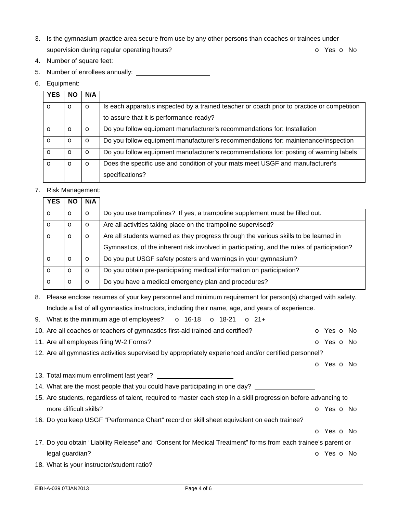- 3. Is the gymnasium practice area secure from use by any other persons than coaches or trainees under supervision during regular operating hours? **o** Yes **o** No
- 4. Number of square feet:
- 5. Number of enrollees annually:
- 6. Equipment:

| <b>YES</b> | <b>NO</b> | N/A     |                                                                                            |
|------------|-----------|---------|--------------------------------------------------------------------------------------------|
| $\circ$    | O         | $\circ$ | Is each apparatus inspected by a trained teacher or coach prior to practice or competition |
|            |           |         | to assure that it is performance-ready?                                                    |
| $\Omega$   | O         | $\circ$ | Do you follow equipment manufacturer's recommendations for: Installation                   |
| $\circ$    | O         | $\circ$ | Do you follow equipment manufacturer's recommendations for: maintenance/inspection         |
| $\circ$    | O         | $\circ$ | Do you follow equipment manufacturer's recommendations for: posting of warning labels      |
| $\circ$    | O         | $\circ$ | Does the specific use and condition of your mats meet USGF and manufacturer's              |
|            |           |         | specifications?                                                                            |

# 7. Risk Management:

| <b>YES</b> | <b>NO</b> | N/A     |                                                                                                                                                                                     |
|------------|-----------|---------|-------------------------------------------------------------------------------------------------------------------------------------------------------------------------------------|
| $\circ$    | $\circ$   | $\circ$ | Do you use trampolines? If yes, a trampoline supplement must be filled out.                                                                                                         |
| $\circ$    | $\circ$   | $\circ$ | Are all activities taking place on the trampoline supervised?                                                                                                                       |
| $\circ$    | $\circ$   | $\circ$ | Are all students warned as they progress through the various skills to be learned in<br>Gymnastics, of the inherent risk involved in participating, and the rules of participation? |
| $\circ$    | $\circ$   | $\circ$ | Do you put USGF safety posters and warnings in your gymnasium?                                                                                                                      |
| $\circ$    | $\circ$   | $\circ$ | Do you obtain pre-participating medical information on participation?                                                                                                               |
| $\circ$    | O         | $\circ$ | Do you have a medical emergency plan and procedures?                                                                                                                                |

8. Please enclose resumes of your key personnel and minimum requirement for person(s) charged with safety. Include a list of all gymnastics instructors, including their name, age, and years of experience.

- 9. What is the minimum age of employees?  $\bullet$  16-18  $\bullet$  18-21  $\bullet$  21+
- 10. Are all coaches or teachers of gymnastics first-aid trained and certified? **o** Yes **o** No
- 11. Are all employees filing W-2 Forms? Canadian Communication of Yes on No. 2014.
- 12. Are all gymnastics activities supervised by appropriately experienced and/or certified personnel?

o Yes o No

- 13. Total maximum enrollment last year?
- 14. What are the most people that you could have participating in one day?
- 15. Are students, regardless of talent, required to master each step in a skill progression before advancing to more difficult skills? **o** Yes **o** No
- 16. Do you keep USGF "Performance Chart" record or skill sheet equivalent on each trainee?
	- o Yes o No
- 17. Do you obtain "Liability Release" and "Consent for Medical Treatment" forms from each trainee's parent or legal guardian? **o Yes o No. In the Vertex and Security**  $\mathbf{Q}$  and Yes **o** No. In the Vertex and Vertex and Vertex and Vertex and Vertex and Vertex and Vertex and Vertex and Vertex and Vertex and Vertex and Vertex and V
- 18. What is your instructor/student ratio?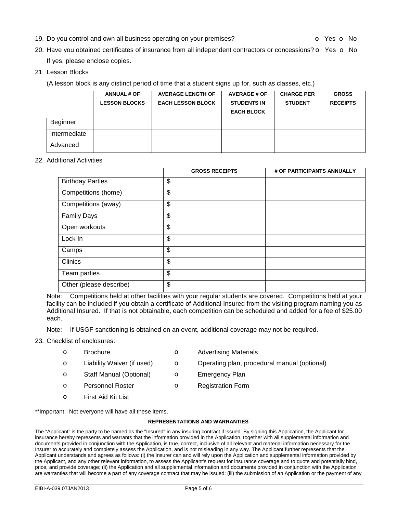19. Do you control and own all business operating on your premises? **o Society of August** of Yes **o** No

- 20. Have you obtained certificates of insurance from all independent contractors or concessions?  $\circ$  Yes  $\circ$  No If yes, please enclose copies.
- 21. Lesson Blocks

(A lesson block is any distinct period of time that a student signs up for, such as classes, etc.)

|              | <b>ANNUAL # OF</b>   | <b>AVERAGE LENGTH OF</b> | <b>AVERAGE # OF</b> | <b>CHARGE PER</b> | <b>GROSS</b>    |
|--------------|----------------------|--------------------------|---------------------|-------------------|-----------------|
|              | <b>LESSON BLOCKS</b> | <b>EACH LESSON BLOCK</b> | <b>STUDENTS IN</b>  | <b>STUDENT</b>    | <b>RECEIPTS</b> |
|              |                      |                          | <b>EACH BLOCK</b>   |                   |                 |
| Beginner     |                      |                          |                     |                   |                 |
| Intermediate |                      |                          |                     |                   |                 |
| Advanced     |                      |                          |                     |                   |                 |

#### 22. Additional Activities

|                         | <b>GROSS RECEIPTS</b> | # OF PARTICIPANTS ANNUALLY |
|-------------------------|-----------------------|----------------------------|
| <b>Birthday Parties</b> | \$                    |                            |
| Competitions (home)     | \$                    |                            |
| Competitions (away)     | \$                    |                            |
| <b>Family Days</b>      | \$                    |                            |
| Open workouts           | \$                    |                            |
| Lock In                 | \$                    |                            |
| Camps                   | \$                    |                            |
| <b>Clinics</b>          | \$                    |                            |
| Team parties            | \$                    |                            |
| Other (please describe) | \$                    |                            |

Note: Competitions held at other facilities with your regular students are covered. Competitions held at your facility can be included if you obtain a certificate of Additional Insured from the visiting program naming you as Additional Insured. If that is not obtainable, each competition can be scheduled and added for a fee of \$25.00 each.

Note: If USGF sanctioning is obtained on an event, additional coverage may not be required.

- 23. Checklist of enclosures:
	- **o** Brochure **o** Advertising Materials
	- o Liability Waiver (if used) o Operating plan, procedural manual (optional)
	- **o** Staff Manual (Optional) **o** Emergency Plan
	- **o** Personnel Roster **o** Registration Form
	- o First Aid Kit List

\*\*Important: Not everyone will have all these items.

#### **REPRESENTATIONS AND WARRANTIES**

The "Applicant" is the party to be named as the "Insured" in any insuring contract if issued. By signing this Application, the Applicant for insurance hereby represents and warrants that the information provided in the Application, together with all supplemental information and documents provided in conjunction with the Application, is true, correct, inclusive of all relevant and material information necessary for the Insurer to accurately and completely assess the Application, and is not misleading in any way. The Applicant further represents that the Applicant understands and agrees as follows: (i) the Insurer can and will rely upon the Application and supplemental information provided by the Applicant, and any other relevant information, to assess the Applicant's request for insurance coverage and to quote and potentially bind, price, and provide coverage; (ii) the Application and all supplemental information and documents provided in conjunction with the Application are warranties that will become a part of any coverage contract that may be issued; (iii) the submission of an Application or the payment of any